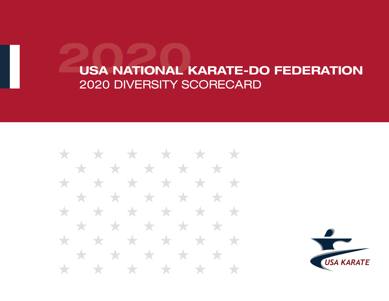

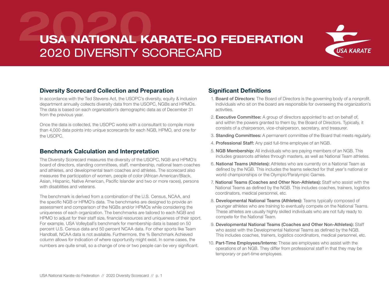

#### Diversity Scorecard Collection and Preparation

In accordance with the Ted Stevens Act, the USOPC's diversity, equity & inclusion department annually collects diversity data from the USOPC, NGBs and HPMOs. The data is based on each organization's demographic data as of December 31 from the previous year.

Once the data is collected, the USOPC works with a consultant to compile more than 4,000 data points into unique scorecards for each NGB, HPMO, and one for the USOPC.

#### Benchmark Calculation and Interpretation

The Diversity Scorecard measures the diversity of the USOPC, NGB and HPMO's board of directors, standing committees, staff, membership, national team coaches and athletes, and developmental team coaches and athletes. The scorecard also measures the participation of women, people of color (African American/Black, Asian, Hispanic, Native American, Pacific Islander and two or more races), persons with disabilities and veterans.

The benchmark is derived from a combination of the U.S. Census, NCAA, and the specific NGB or HPMO's data. The benchmarks are designed to provide an assessment and comparison of the NGBs and/or HPMOs while considering the uniqueness of each organization. The benchmarks are tailored to each NGB and HPMO to adjust for their staff size, financial resources and uniqueness of their sport. For example, USA Volleyball's benchmark for membership data is based on 50 percent U.S. Census data and 50 percent NCAA data. For other sports like Team Handball, NCAA data is not available. Furthermore, the % Benchmark Achieved column allows for indication of where opportunity might exist. In some cases, the numbers are quite small, so a change of one or two people can be very significant.

#### Significant Definitions

- 1. Board of Directors: The Board of Directors is the governing body of a nonprofit. Individuals who sit on the board are responsible for overseeing the organization's activities.
- 2. Executive Committee: A group of directors appointed to act on behalf of, and within the powers granted to them by, the Board of Directors. Typically, it consists of a chairperson, vice-chairperson, secretary, and treasurer.
- 3. Standing Committees: A permanent committee of the Board that meets regularly.
- 4. Professional Staff: Any paid full-time employee of an NGB.
- 5. NGB Membership: All individuals who are paying members of an NGB. This includes grassroots athletes through masters, as well as National Team athletes.
- 6. National Teams (Athletes): Athletes who are currently on a National Team as defined by the NGB. This includes the teams selected for that year's national or world championships or the Olympic/Paralympic Games.
- 7. National Teams (Coaches and Other Non-Athletes): Staff who assist with the National Teams as defined by the NGB. This includes coaches, trainers, logistics coordinators, medical personnel, etc.
- 8. Developmental National Teams (Athletes): Teams typically composed of younger athletes who are training to eventually compete on the National Teams. These athletes are usually highly skilled individuals who are not fully ready to compete for the National Team.
- 9. Developmental National Teams (Coaches and Other Non-Athletes): Staff who assist with the Developmental National Teams as defined by the NGB. This includes coaches, trainers, logistics coordinators, medical personnel, etc.
- 10. Part-Time Employees/Interns: These are employees who assist with the operations of an NGB. They differ from professional staff in that they may be temporary or part-time employees.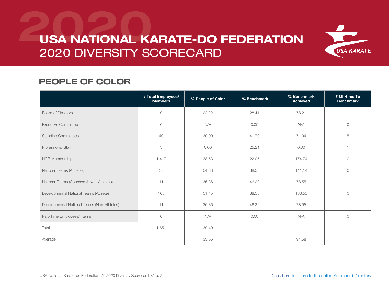

### PEOPLE OF COLOR

|                                             | # Total Employees/<br><b>Members</b> | % People of Color | % Benchmark | % Benchmark<br><b>Achieved</b> | # Of Hires To<br><b>Benchmark</b> |
|---------------------------------------------|--------------------------------------|-------------------|-------------|--------------------------------|-----------------------------------|
| <b>Board of Directors</b>                   | $\mathcal{G}$                        | 22.22             | 28.41       | 78.21                          |                                   |
| <b>Executive Committee</b>                  | $\circ$                              | N/A               | 0.00        | N/A                            | $\circlearrowright$               |
| <b>Standing Committees</b>                  | 40                                   | 30.00             | 41.70       | 71.94                          | 5                                 |
| <b>Professional Staff</b>                   | 3                                    | 0.00              | 25.21       | 0.00                           |                                   |
| NGB Membership                              | 1,417                                | 38.53             | 22.05       | 174.74                         | $\circ$                           |
| National Teams (Athletes)                   | 57                                   | 54.38             | 38.53       | 141.14                         | $\circ$                           |
| National Teams (Coaches & Non-Athletes)     | 11                                   | 36.36             | 46.29       | 78.55                          |                                   |
| Developmental National Teams (Athletes)     | 103                                  | 51.45             | 38.53       | 133.53                         | $\circ$                           |
| Developmental National Teams (Non-Athletes) | 11                                   | 36.36             | 46.29       | 78.55                          |                                   |
| Part-Time Employees/Interns                 | $\circ$                              | N/A               | 0.00        | N/A                            | $\circ$                           |
| Total                                       | 1,651                                | 39.49             |             |                                |                                   |
| Average                                     |                                      | 33.66             |             | 94.58                          |                                   |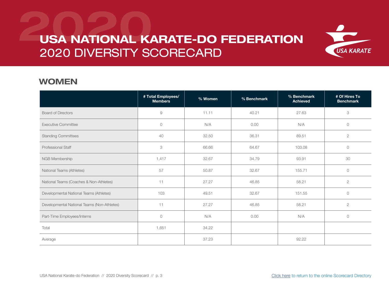

#### WOMEN

|                                             | # Total Employees/<br><b>Members</b> | % Women | % Benchmark | % Benchmark<br><b>Achieved</b> | # Of Hires To<br><b>Benchmark</b> |
|---------------------------------------------|--------------------------------------|---------|-------------|--------------------------------|-----------------------------------|
| <b>Board of Directors</b>                   | 9                                    | 11.11   | 40.21       | 27.63                          | 3                                 |
| <b>Executive Committee</b>                  | $\circ$                              | N/A     | 0.00        | N/A                            | $\circ$                           |
| <b>Standing Committees</b>                  | 40                                   | 32.50   | 36.31       | 89.51                          | $\sqrt{2}$                        |
| <b>Professional Staff</b>                   | 3                                    | 66.66   | 64.67       | 103.08                         | $\circ$                           |
| NGB Membership                              | 1,417                                | 32.67   | 34.79       | 93.91                          | 30                                |
| National Teams (Athletes)                   | 57                                   | 50.87   | 32.67       | 155.71                         | $\circ$                           |
| National Teams (Coaches & Non-Athletes)     | 11                                   | 27.27   | 46.85       | 58.21                          | $\mathbf{2}$                      |
| Developmental National Teams (Athletes)     | 103                                  | 49.51   | 32.67       | 151.55                         | $\circ$                           |
| Developmental National Teams (Non-Athletes) | 11                                   | 27.27   | 46.85       | 58.21                          | $\sqrt{2}$                        |
| Part-Time Employees/Interns                 | $\circ$                              | N/A     | 0.00        | N/A                            | $\circ$                           |
| Total                                       | 1,651                                | 34.22   |             |                                |                                   |
| Average                                     |                                      | 37.23   |             | 92.22                          |                                   |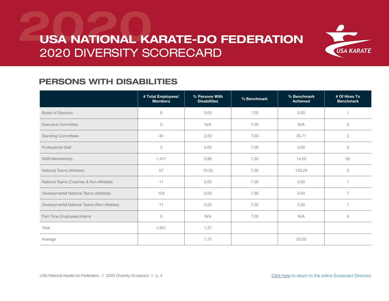

### PERSONS WITH DISABILITIES

|                                             | # Total Employees/<br><b>Members</b> | % Persons With<br><b>Disabilities</b> | % Benchmark | % Benchmark<br><b>Achieved</b> | # Of Hires To<br><b>Benchmark</b> |
|---------------------------------------------|--------------------------------------|---------------------------------------|-------------|--------------------------------|-----------------------------------|
| <b>Board of Directors</b>                   | $\Theta$                             | 0.00                                  | 7.00        | 0.00                           |                                   |
| <b>Executive Committee</b>                  | $\circ$                              | N/A                                   | 7.00        | N/A                            | $\circ$                           |
| <b>Standing Committees</b>                  | 40                                   | 2.50                                  | 7.00        | 35.71                          | $\mathbf{2}$                      |
| <b>Professional Staff</b>                   | 3                                    | 0.00                                  | 7.00        | 0.00                           | $\circ$                           |
| NGB Membership                              | 1,417                                | 0.98                                  | 7.00        | 14.00                          | 85                                |
| National Teams (Athletes)                   | 57                                   | 10.52                                 | 7.00        | 150.29                         | $\circ$                           |
| National Teams (Coaches & Non-Athletes)     | 11                                   | 0.00                                  | 7.00        | 0.00                           | $\overline{1}$                    |
| Developmental National Teams (Athletes)     | 103                                  | 0.00                                  | 7.00        | 0.00                           | $\overline{7}$                    |
| Developmental National Teams (Non-Athletes) | 11                                   | 0.00                                  | 7.00        | 0.00                           |                                   |
| Part-Time Employees/Interns                 | $\circ$                              | N/A                                   | 7.00        | N/A                            | $\circ$                           |
| Total                                       | 1,651                                | 1.27                                  |             |                                |                                   |
| Average                                     |                                      | 1.75                                  |             | 25.00                          |                                   |